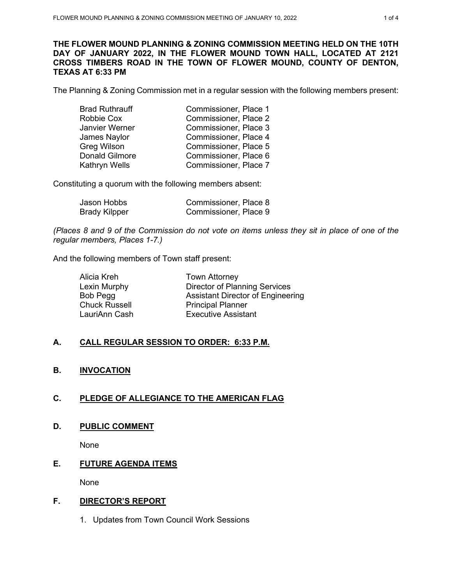### **THE FLOWER MOUND PLANNING & ZONING COMMISSION MEETING HELD ON THE 10TH DAY OF JANUARY 2022, IN THE FLOWER MOUND TOWN HALL, LOCATED AT 2121 CROSS TIMBERS ROAD IN THE TOWN OF FLOWER MOUND, COUNTY OF DENTON, TEXAS AT 6:33 PM**

The Planning & Zoning Commission met in a regular session with the following members present:

| <b>Brad Ruthrauff</b> | Commissioner, Place 1 |
|-----------------------|-----------------------|
| Robbie Cox            | Commissioner, Place 2 |
| Janvier Werner        | Commissioner, Place 3 |
| James Naylor          | Commissioner, Place 4 |
| <b>Greg Wilson</b>    | Commissioner, Place 5 |
| <b>Donald Gilmore</b> | Commissioner, Place 6 |
| Kathryn Wells         | Commissioner, Place 7 |

Constituting a quorum with the following members absent:

| Jason Hobbs          | Commissioner, Place 8 |
|----------------------|-----------------------|
| <b>Brady Kilpper</b> | Commissioner, Place 9 |

*(Places 8 and 9 of the Commission do not vote on items unless they sit in place of one of the regular members, Places 1-7.)*

And the following members of Town staff present:

| Alicia Kreh          | <b>Town Attorney</b>                     |
|----------------------|------------------------------------------|
| Lexin Murphy         | <b>Director of Planning Services</b>     |
| Bob Pegg             | <b>Assistant Director of Engineering</b> |
| <b>Chuck Russell</b> | <b>Principal Planner</b>                 |
| LauriAnn Cash        | <b>Executive Assistant</b>               |
|                      |                                          |

# **A. CALL REGULAR SESSION TO ORDER: 6:33 P.M.**

# **B. INVOCATION**

# **C. PLEDGE OF ALLEGIANCE TO THE AMERICAN FLAG**

## **D. PUBLIC COMMENT**

None

# **E. FUTURE AGENDA ITEMS**

None

## **F. DIRECTOR'S REPORT**

1. Updates from Town Council Work Sessions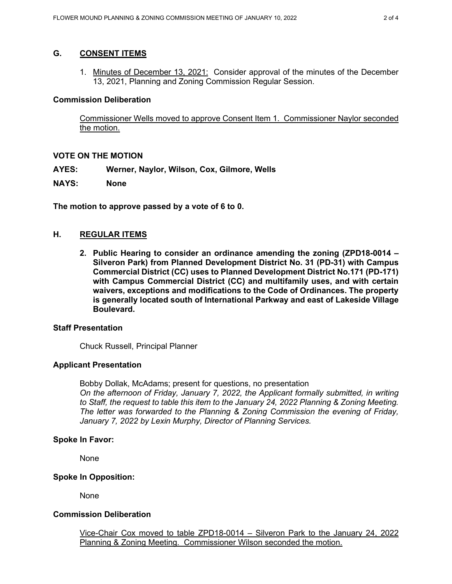## **G. CONSENT ITEMS**

1. Minutes of December 13, 2021: Consider approval of the minutes of the December 13, 2021, Planning and Zoning Commission Regular Session.

## **Commission Deliberation**

Commissioner Wells moved to approve Consent Item 1. Commissioner Naylor seconded the motion.

## **VOTE ON THE MOTION**

- **AYES: Werner, Naylor, Wilson, Cox, Gilmore, Wells**
- **NAYS: None**

**The motion to approve passed by a vote of 6 to 0.** 

## **H. REGULAR ITEMS**

**2. Public Hearing to consider an ordinance amending the zoning (ZPD18-0014 – Silveron Park) from Planned Development District No. 31 (PD-31) with Campus Commercial District (CC) uses to Planned Development District No.171 (PD-171) with Campus Commercial District (CC) and multifamily uses, and with certain waivers, exceptions and modifications to the Code of Ordinances. The property is generally located south of International Parkway and east of Lakeside Village Boulevard.** 

### **Staff Presentation**

Chuck Russell, Principal Planner

### **Applicant Presentation**

Bobby Dollak, McAdams; present for questions, no presentation *On the afternoon of Friday, January 7, 2022, the Applicant formally submitted, in writing to Staff, the request to table this item to the January 24, 2022 Planning & Zoning Meeting. The letter was forwarded to the Planning & Zoning Commission the evening of Friday, January 7, 2022 by Lexin Murphy, Director of Planning Services.*

### **Spoke In Favor:**

None

### **Spoke In Opposition:**

None

### **Commission Deliberation**

Vice-Chair Cox moved to table ZPD18-0014 – Silveron Park to the January 24, 2022 Planning & Zoning Meeting. Commissioner Wilson seconded the motion.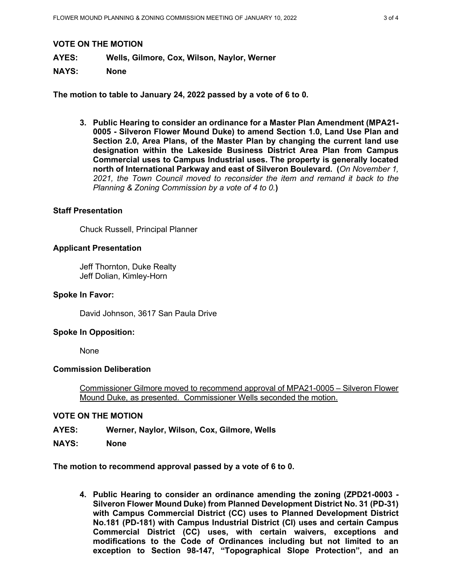### **VOTE ON THE MOTION**

**AYES: Wells, Gilmore, Cox, Wilson, Naylor, Werner**

## **NAYS: None**

**The motion to table to January 24, 2022 passed by a vote of 6 to 0.** 

**3. Public Hearing to consider an ordinance for a Master Plan Amendment (MPA21- 0005 - Silveron Flower Mound Duke) to amend Section 1.0, Land Use Plan and Section 2.0, Area Plans, of the Master Plan by changing the current land use designation within the Lakeside Business District Area Plan from Campus Commercial uses to Campus Industrial uses. The property is generally located north of International Parkway and east of Silveron Boulevard. (***On November 1, 2021, the Town Council moved to reconsider the item and remand it back to the Planning & Zoning Commission by a vote of 4 to 0.***)** 

### **Staff Presentation**

Chuck Russell, Principal Planner

## **Applicant Presentation**

Jeff Thornton, Duke Realty Jeff Dolian, Kimley-Horn

### **Spoke In Favor:**

David Johnson, 3617 San Paula Drive

### **Spoke In Opposition:**

None

## **Commission Deliberation**

Commissioner Gilmore moved to recommend approval of MPA21-0005 – Silveron Flower Mound Duke, as presented. Commissioner Wells seconded the motion.

### **VOTE ON THE MOTION**

**AYES: Werner, Naylor, Wilson, Cox, Gilmore, Wells**

**NAYS: None**

**The motion to recommend approval passed by a vote of 6 to 0.** 

**4. Public Hearing to consider an ordinance amending the zoning (ZPD21-0003 - Silveron Flower Mound Duke) from Planned Development District No. 31 (PD-31) with Campus Commercial District (CC) uses to Planned Development District No.181 (PD-181) with Campus Industrial District (CI) uses and certain Campus Commercial District (CC) uses, with certain waivers, exceptions and modifications to the Code of Ordinances including but not limited to an exception to Section 98-147, "Topographical Slope Protection", and an**